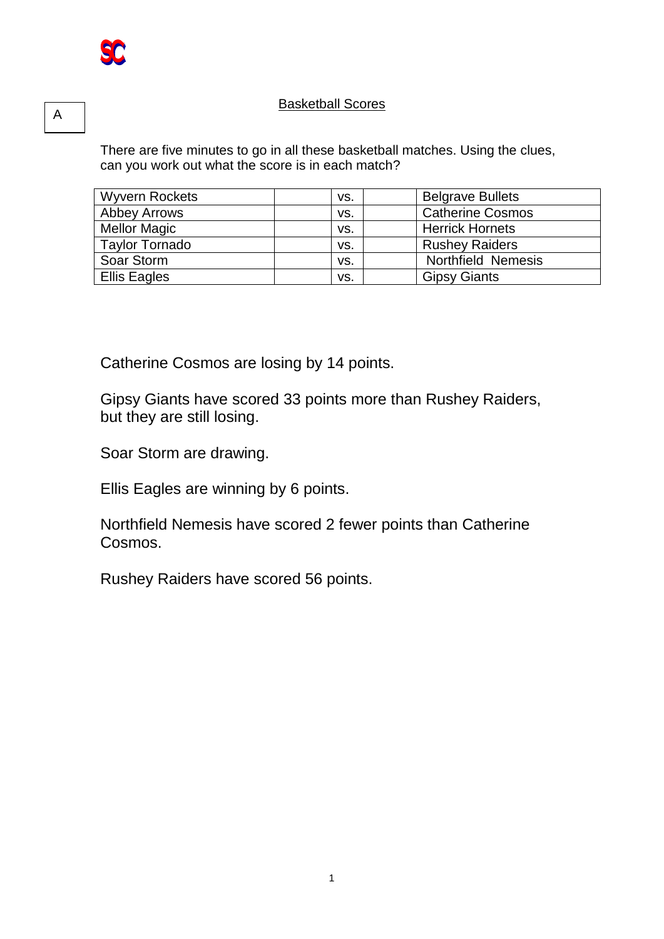## **Basketball Scores**

There are five minutes to go in all these basketball matches. Using the clues, can you work out what the score is in each match?

| <b>Wyvern Rockets</b> | VS. | <b>Belgrave Bullets</b> |
|-----------------------|-----|-------------------------|
| <b>Abbey Arrows</b>   | VS. | <b>Catherine Cosmos</b> |
| <b>Mellor Magic</b>   | VS. | <b>Herrick Hornets</b>  |
| <b>Taylor Tornado</b> | VS. | <b>Rushey Raiders</b>   |
| Soar Storm            | VS. | Northfield Nemesis      |
| <b>Ellis Eagles</b>   | VS. | <b>Gipsy Giants</b>     |

Catherine Cosmos are losing by 14 points.

Gipsy Giants have scored 33 points more than Rushey Raiders, but they are still losing.

Soar Storm are drawing.

Ellis Eagles are winning by 6 points.

Northfield Nemesis have scored 2 fewer points than Catherine Cosmos.

Rushey Raiders have scored 56 points.

A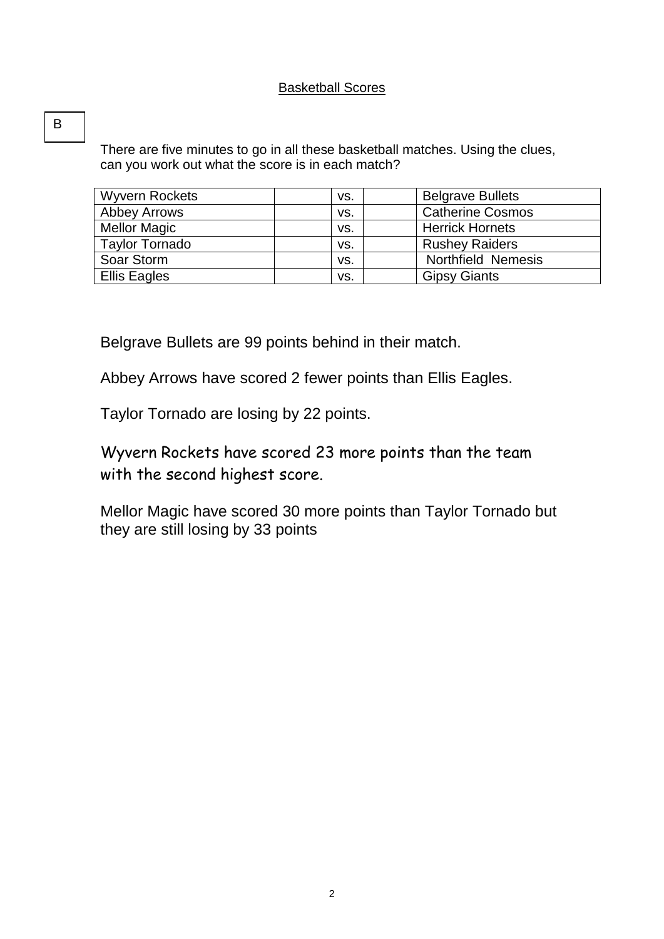## Basketball Scores

There are five minutes to go in all these basketball matches. Using the clues, can you work out what the score is in each match?

| <b>Wyvern Rockets</b> | VS. | <b>Belgrave Bullets</b> |
|-----------------------|-----|-------------------------|
| <b>Abbey Arrows</b>   | VS. | <b>Catherine Cosmos</b> |
| <b>Mellor Magic</b>   | VS. | <b>Herrick Hornets</b>  |
| <b>Taylor Tornado</b> | VS. | <b>Rushey Raiders</b>   |
| Soar Storm            | VS. | Northfield Nemesis      |
| Ellis Eagles          | VS. | <b>Gipsy Giants</b>     |

Belgrave Bullets are 99 points behind in their match.

Abbey Arrows have scored 2 fewer points than Ellis Eagles.

Taylor Tornado are losing by 22 points.

Wyvern Rockets have scored 23 more points than the team with the second highest score.

Mellor Magic have scored 30 more points than Taylor Tornado but they are still losing by 33 points

B